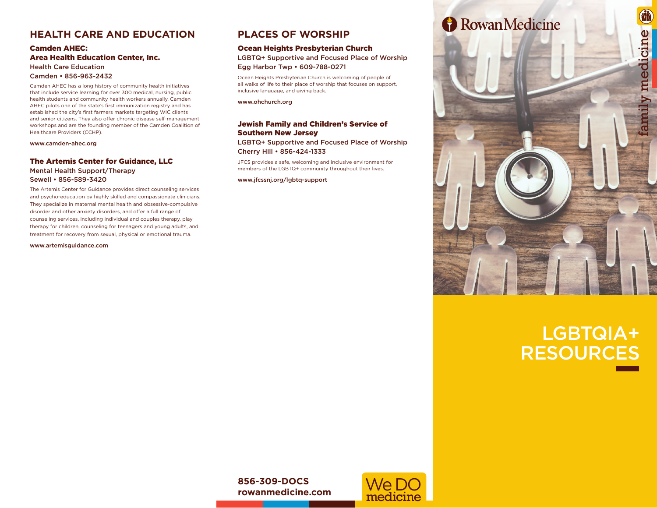# **HEALTH CARE AND EDUCATION**

#### Camden AHEC: Area Health Education Center, Inc. Health Care Education Camden • 856-963-2432

Camden AHEC has a long history of community health initiatives that include service learning for over 300 medical, nursing, public health students and community health workers annually. Camden AHEC pilots one of the state's first immunization registry and has established the city's first farmers markets targeting WIC clients and senior citizens. They also offer chronic disease self-management workshops and are the founding member of the Camden Coalition of Healthcare Providers (CCHP).

www.camden-ahec.org

## The Artemis Center for Guidance, LLC Mental Health Support/Therapy Sewell • 856-589-3420

The Artemis Center for Guidance provides direct counseling services and psycho-education by highly skilled and compassionate clinicians. They specialize in maternal mental health and obsessive-compulsive disorder and other anxiety disorders, and offer a full range of counseling services, including individual and couples therapy, play therapy for children, counseling for teenagers and young adults, and treatment for recovery from sexual, physical or emotional trauma.

www.artemisguidance.com

# **PLACES OF WORSHIP**

#### Ocean Heights Presbyterian Church

LGBTQ+ Supportive and Focused Place of Worship Egg Harbor Twp • 609-788-0271

Ocean Heights Presbyterian Church is welcoming of people of all walks of life to their place of worship that focuses on support, inclusive language, and giving back.

www.ohchurch.org

## Jewish Family and Children's Service of Southern New Jersey

LGBTQ+ Supportive and Focused Place of Worship Cherry Hill • 856-424-1333

JFCS provides a safe, welcoming and inclusive environment for members of the LGBTQ+ community throughout their lives.

www.jfcssnj.org/lgbtq-support



# LGBTQIA+ RESOURCES